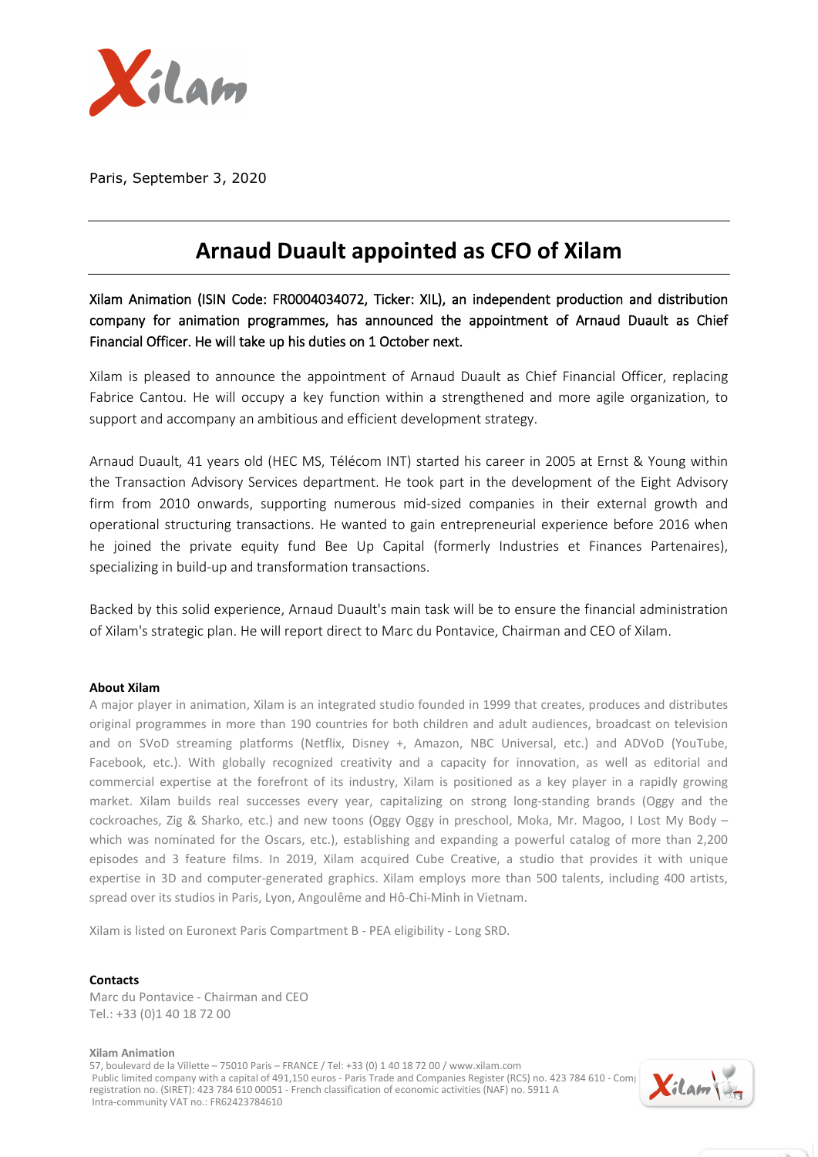

Paris, September 3, 2020

## **Arnaud Duault appointed as CFO of Xilam**

Xilam Animation (ISIN Code: FR0004034072, Ticker: XIL), an independent production and distribution company for animation programmes, has announced the appointment of Arnaud Duault as Chief Financial Officer. He will take up his duties on 1 October next.

Xilam is pleased to announce the appointment of Arnaud Duault as Chief Financial Officer, replacing Fabrice Cantou. He will occupy a key function within a strengthened and more agile organization, to support and accompany an ambitious and efficient development strategy.

Arnaud Duault, 41 years old (HEC MS, Télécom INT) started his career in 2005 at Ernst & Young within the Transaction Advisory Services department. He took part in the development of the Eight Advisory firm from 2010 onwards, supporting numerous mid-sized companies in their external growth and operational structuring transactions. He wanted to gain entrepreneurial experience before 2016 when he joined the private equity fund Bee Up Capital (formerly Industries et Finances Partenaires), specializing in build-up and transformation transactions.

Backed by this solid experience, Arnaud Duault's main task will be to ensure the financial administration of Xilam's strategic plan. He will report direct to Marc du Pontavice, Chairman and CEO of Xilam.

## **About Xilam**

A major player in animation, Xilam is an integrated studio founded in 1999 that creates, produces and distributes original programmes in more than 190 countries for both children and adult audiences, broadcast on television and on SVoD streaming platforms (Netflix, Disney +, Amazon, NBC Universal, etc.) and ADVoD (YouTube, Facebook, etc.). With globally recognized creativity and a capacity for innovation, as well as editorial and commercial expertise at the forefront of its industry, Xilam is positioned as a key player in a rapidly growing market. Xilam builds real successes every year, capitalizing on strong long-standing brands (Oggy and the cockroaches, Zig & Sharko, etc.) and new toons (Oggy Oggy in preschool, Moka, Mr. Magoo, I Lost My Body – which was nominated for the Oscars, etc.), establishing and expanding a powerful catalog of more than 2,200 episodes and 3 feature films. In 2019, Xilam acquired Cube Creative, a studio that provides it with unique expertise in 3D and computer-generated graphics. Xilam employs more than 500 talents, including 400 artists, spread over its studios in Paris, Lyon, Angoulême and Hô-Chi-Minh in Vietnam.

Xilam is listed on Euronext Paris Compartment B - PEA eligibility - Long SRD.

## **Contacts**

Marc du Pontavice - Chairman and CEO Tel.: +33 (0)1 40 18 72 00

**Xilam Animation** 57, boulevard de la Villette – 75010 Paris – FRANCE / Tel: +33 (0) 1 40 18 72 00 / www.xilam.com Public limited company with a capital of 491,150 euros - Paris Trade and Companies Register (RCS) no. 423 784 610 - Company branch capital of 491,150 euros - Paris Trade and Companies Register (RCS) no. 423 784 610 - Compa registration no. (SIRET): 423 784 610 00051 - French classification of economic activities (NAF) no. 5911 A Intra-community VAT no.: FR62423784610